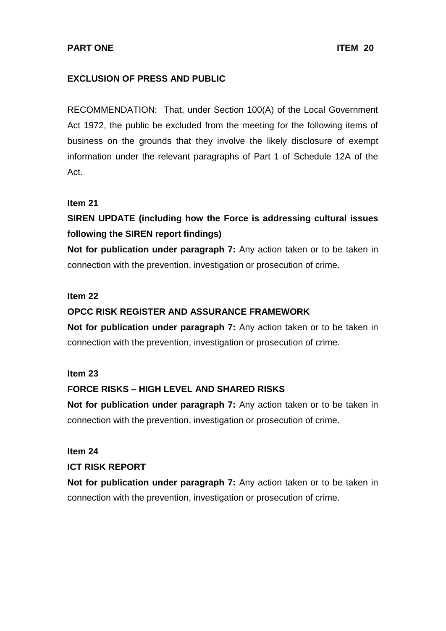### **EXCLUSION OF PRESS AND PUBLIC**

RECOMMENDATION: That, under Section 100(A) of the Local Government Act 1972, the public be excluded from the meeting for the following items of business on the grounds that they involve the likely disclosure of exempt information under the relevant paragraphs of Part 1 of Schedule 12A of the Act.

### **Item 21**

## **SIREN UPDATE (including how the Force is addressing cultural issues following the SIREN report findings)**

**Not for publication under paragraph 7:** Any action taken or to be taken in connection with the prevention, investigation or prosecution of crime.

### **Item 22**

### **OPCC RISK REGISTER AND ASSURANCE FRAMEWORK**

**Not for publication under paragraph 7:** Any action taken or to be taken in connection with the prevention, investigation or prosecution of crime.

### **Item 23**

### **FORCE RISKS – HIGH LEVEL AND SHARED RISKS**

**Not for publication under paragraph 7:** Any action taken or to be taken in connection with the prevention, investigation or prosecution of crime.

# **Item 24**

### **ICT RISK REPORT**

**Not for publication under paragraph 7:** Any action taken or to be taken in connection with the prevention, investigation or prosecution of crime.